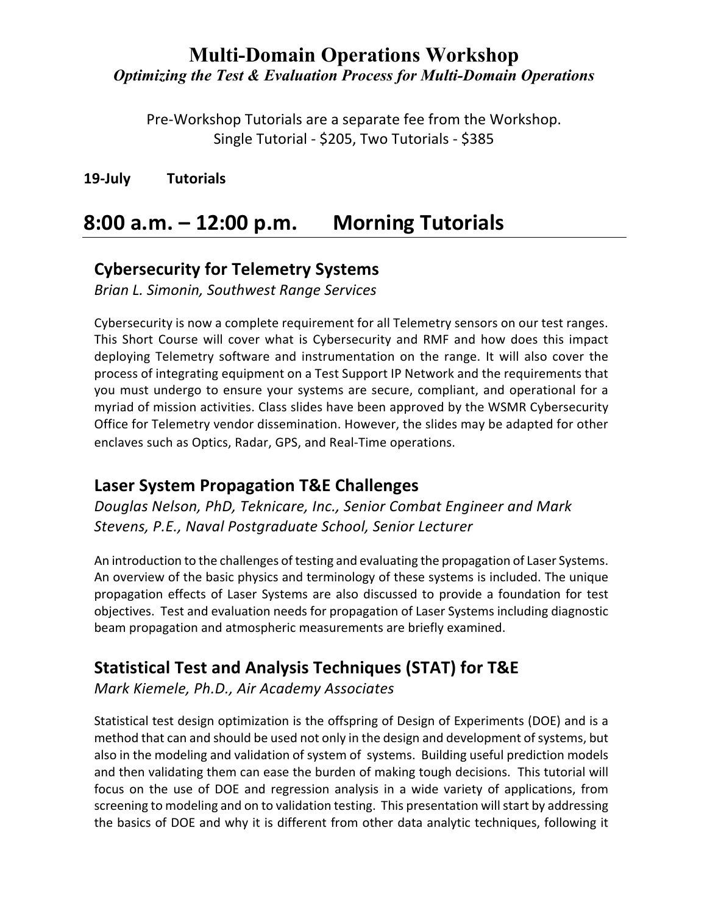Pre-Workshop Tutorials are a separate fee from the Workshop. Single Tutorial - \$205, Two Tutorials - \$385

**19-July Tutorials**

# **8:00 a.m. – 12:00 p.m. Morning Tutorials**

### **Cybersecurity for Telemetry Systems**

*Brian L. Simonin, Southwest Range Services*

Cybersecurity is now a complete requirement for all Telemetry sensors on our test ranges. This Short Course will cover what is Cybersecurity and RMF and how does this impact deploying Telemetry software and instrumentation on the range. It will also cover the process of integrating equipment on a Test Support IP Network and the requirements that you must undergo to ensure your systems are secure, compliant, and operational for a myriad of mission activities. Class slides have been approved by the WSMR Cybersecurity Office for Telemetry vendor dissemination. However, the slides may be adapted for other enclaves such as Optics, Radar, GPS, and Real-Time operations.

### **Laser System Propagation T&E Challenges**

*Douglas Nelson, PhD, Teknicare, Inc., Senior Combat Engineer and Mark Stevens, P.E., Naval Postgraduate School, Senior Lecturer*

An introduction to the challenges of testing and evaluating the propagation of Laser Systems. An overview of the basic physics and terminology of these systems is included. The unique propagation effects of Laser Systems are also discussed to provide a foundation for test objectives. Test and evaluation needs for propagation of Laser Systems including diagnostic beam propagation and atmospheric measurements are briefly examined.

## **Statistical Test and Analysis Techniques (STAT) for T&E**

*Mark Kiemele, Ph.D., Air Academy Associates*

Statistical test design optimization is the offspring of Design of Experiments (DOE) and is a method that can and should be used not only in the design and development of systems, but also in the modeling and validation of system of systems. Building useful prediction models and then validating them can ease the burden of making tough decisions. This tutorial will focus on the use of DOE and regression analysis in a wide variety of applications, from screening to modeling and on to validation testing. This presentation will start by addressing the basics of DOE and why it is different from other data analytic techniques, following it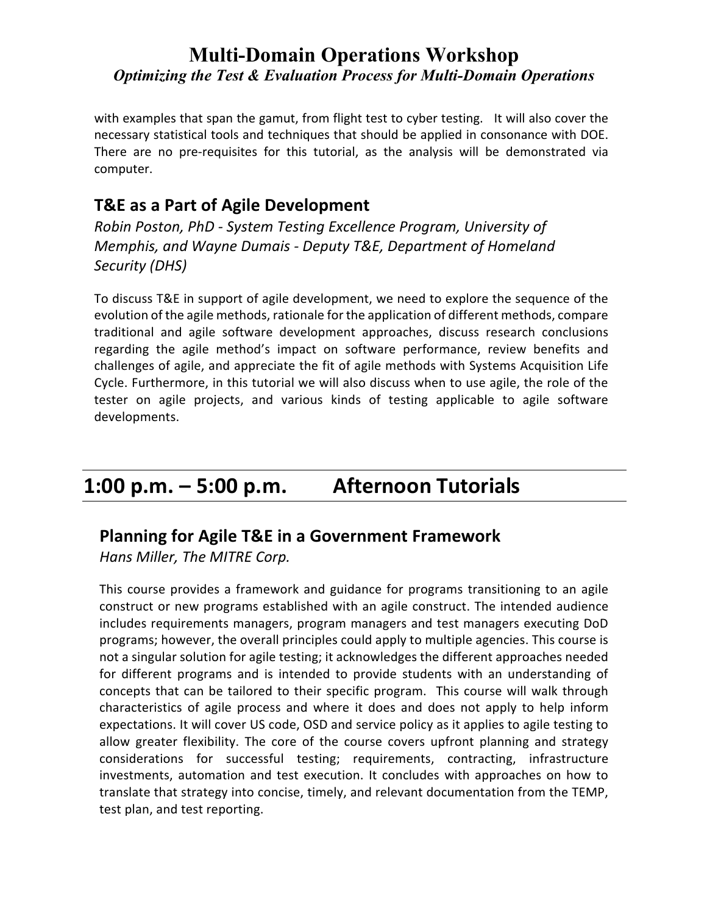with examples that span the gamut, from flight test to cyber testing. It will also cover the necessary statistical tools and techniques that should be applied in consonance with DOE. There are no pre-requisites for this tutorial, as the analysis will be demonstrated via computer.

### **T&E as a Part of Agile Development**

*Robin Poston, PhD - System Testing Excellence Program, University of Memphis, and Wayne Dumais - Deputy T&E, Department of Homeland Security (DHS)*

To discuss T&E in support of agile development, we need to explore the sequence of the evolution of the agile methods, rationale for the application of different methods, compare traditional and agile software development approaches, discuss research conclusions regarding the agile method's impact on software performance, review benefits and challenges of agile, and appreciate the fit of agile methods with Systems Acquisition Life Cycle. Furthermore, in this tutorial we will also discuss when to use agile, the role of the tester on agile projects, and various kinds of testing applicable to agile software developments.

# **1:00 p.m. – 5:00 p.m. Afternoon Tutorials**

### **Planning for Agile T&E in a Government Framework**

*Hans Miller, The MITRE Corp.*

This course provides a framework and guidance for programs transitioning to an agile construct or new programs established with an agile construct. The intended audience includes requirements managers, program managers and test managers executing DoD programs; however, the overall principles could apply to multiple agencies. This course is not a singular solution for agile testing; it acknowledges the different approaches needed for different programs and is intended to provide students with an understanding of concepts that can be tailored to their specific program. This course will walk through characteristics of agile process and where it does and does not apply to help inform expectations. It will cover US code, OSD and service policy as it applies to agile testing to allow greater flexibility. The core of the course covers upfront planning and strategy considerations for successful testing; requirements, contracting, infrastructure investments, automation and test execution. It concludes with approaches on how to translate that strategy into concise, timely, and relevant documentation from the TEMP, test plan, and test reporting.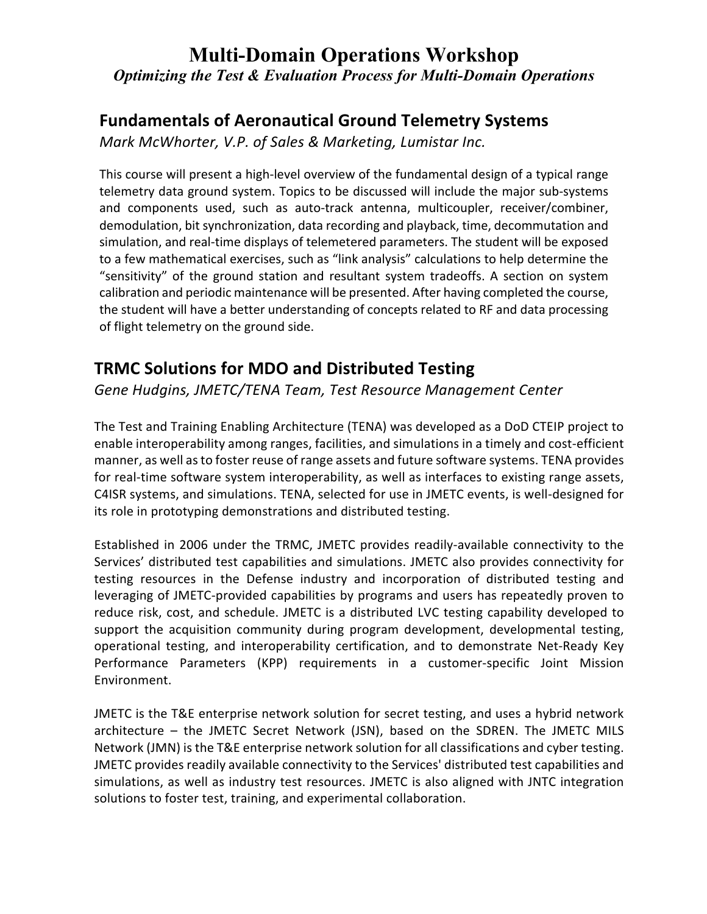### **Fundamentals of Aeronautical Ground Telemetry Systems**

*Mark McWhorter, V.P. of Sales & Marketing, Lumistar Inc.*

This course will present a high-level overview of the fundamental design of a typical range telemetry data ground system. Topics to be discussed will include the major sub-systems and components used, such as auto-track antenna, multicoupler, receiver/combiner, demodulation, bit synchronization, data recording and playback, time, decommutation and simulation, and real-time displays of telemetered parameters. The student will be exposed to a few mathematical exercises, such as "link analysis" calculations to help determine the "sensitivity" of the ground station and resultant system tradeoffs. A section on system calibration and periodic maintenance will be presented. After having completed the course, the student will have a better understanding of concepts related to RF and data processing of flight telemetry on the ground side.

### **TRMC Solutions for MDO and Distributed Testing**

*Gene Hudgins, JMETC/TENA Team, Test Resource Management Center*

The Test and Training Enabling Architecture (TENA) was developed as a DoD CTEIP project to enable interoperability among ranges, facilities, and simulations in a timely and cost-efficient manner, as well as to foster reuse of range assets and future software systems. TENA provides for real-time software system interoperability, as well as interfaces to existing range assets, C4ISR systems, and simulations. TENA, selected for use in JMETC events, is well-designed for its role in prototyping demonstrations and distributed testing.

Established in 2006 under the TRMC, JMETC provides readily-available connectivity to the Services' distributed test capabilities and simulations. JMETC also provides connectivity for testing resources in the Defense industry and incorporation of distributed testing and leveraging of JMETC-provided capabilities by programs and users has repeatedly proven to reduce risk, cost, and schedule. JMETC is a distributed LVC testing capability developed to support the acquisition community during program development, developmental testing, operational testing, and interoperability certification, and to demonstrate Net-Ready Key Performance Parameters (KPP) requirements in a customer-specific Joint Mission Environment.

JMETC is the T&E enterprise network solution for secret testing, and uses a hybrid network architecture – the JMETC Secret Network (JSN), based on the SDREN. The JMETC MILS Network (JMN) is the T&E enterprise network solution for all classifications and cyber testing. JMETC provides readily available connectivity to the Services' distributed test capabilities and simulations, as well as industry test resources. JMETC is also aligned with JNTC integration solutions to foster test, training, and experimental collaboration.